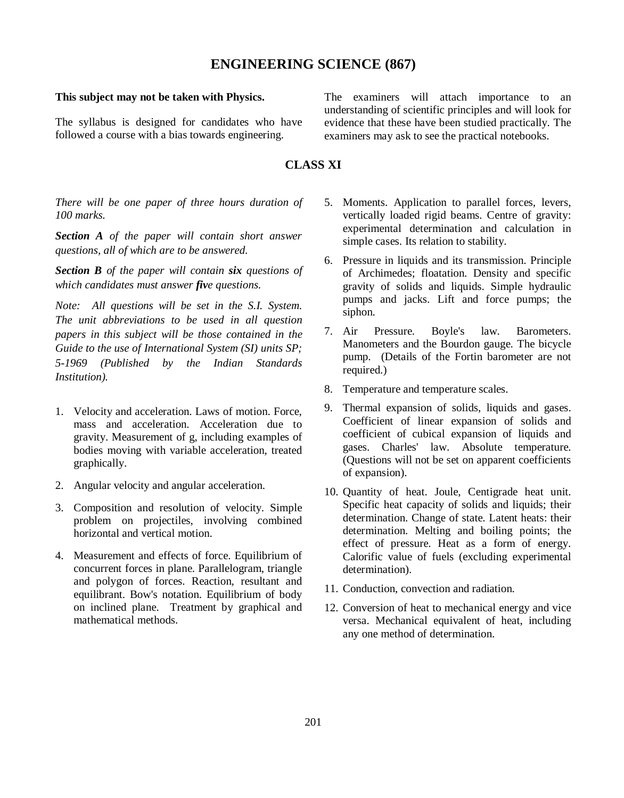## **ENGINEERING SCIENCE (867)**

## **This subject may not be taken with Physics.**

The syllabus is designed for candidates who have followed a course with a bias towards engineering.

The examiners will attach importance to an understanding of scientific principles and will look for evidence that these have been studied practically. The examiners may ask to see the practical notebooks.

## **CLASS XI**

*There will be one paper of three hours duration of 100 marks.*

*Section A of the paper will contain short answer questions, all of which are to be answered.*

*Section B of the paper will contain six questions of which candidates must answer five questions.*

*Note: All questions will be set in the S.I. System. The unit abbreviations to be used in all question papers in this subject will be those contained in the Guide to the use of International System (SI) units SP; 5-1969 (Published by the Indian Standards Institution).*

- 1. Velocity and acceleration. Laws of motion. Force, mass and acceleration. Acceleration due to gravity. Measurement of g, including examples of bodies moving with variable acceleration, treated graphically.
- 2. Angular velocity and angular acceleration.
- 3. Composition and resolution of velocity. Simple problem on projectiles, involving combined horizontal and vertical motion.
- 4. Measurement and effects of force. Equilibrium of concurrent forces in plane. Parallelogram, triangle and polygon of forces. Reaction, resultant and equilibrant. Bow's notation. Equilibrium of body on inclined plane. Treatment by graphical and mathematical methods.
- 5. Moments. Application to parallel forces, levers, vertically loaded rigid beams. Centre of gravity: experimental determination and calculation in simple cases. Its relation to stability.
- 6. Pressure in liquids and its transmission. Principle of Archimedes; floatation. Density and specific gravity of solids and liquids. Simple hydraulic pumps and jacks. Lift and force pumps; the siphon.
- 7. Air Pressure. Boyle's law. Barometers. Manometers and the Bourdon gauge. The bicycle pump. (Details of the Fortin barometer are not required.)
- 8. Temperature and temperature scales.
- 9. Thermal expansion of solids, liquids and gases. Coefficient of linear expansion of solids and coefficient of cubical expansion of liquids and gases. Charles' law. Absolute temperature. (Questions will not be set on apparent coefficients of expansion).
- 10. Quantity of heat. Joule, Centigrade heat unit. Specific heat capacity of solids and liquids; their determination. Change of state. Latent heats: their determination. Melting and boiling points; the effect of pressure. Heat as a form of energy. Calorific value of fuels (excluding experimental determination).
- 11. Conduction, convection and radiation.
- 12. Conversion of heat to mechanical energy and vice versa. Mechanical equivalent of heat, including any one method of determination.